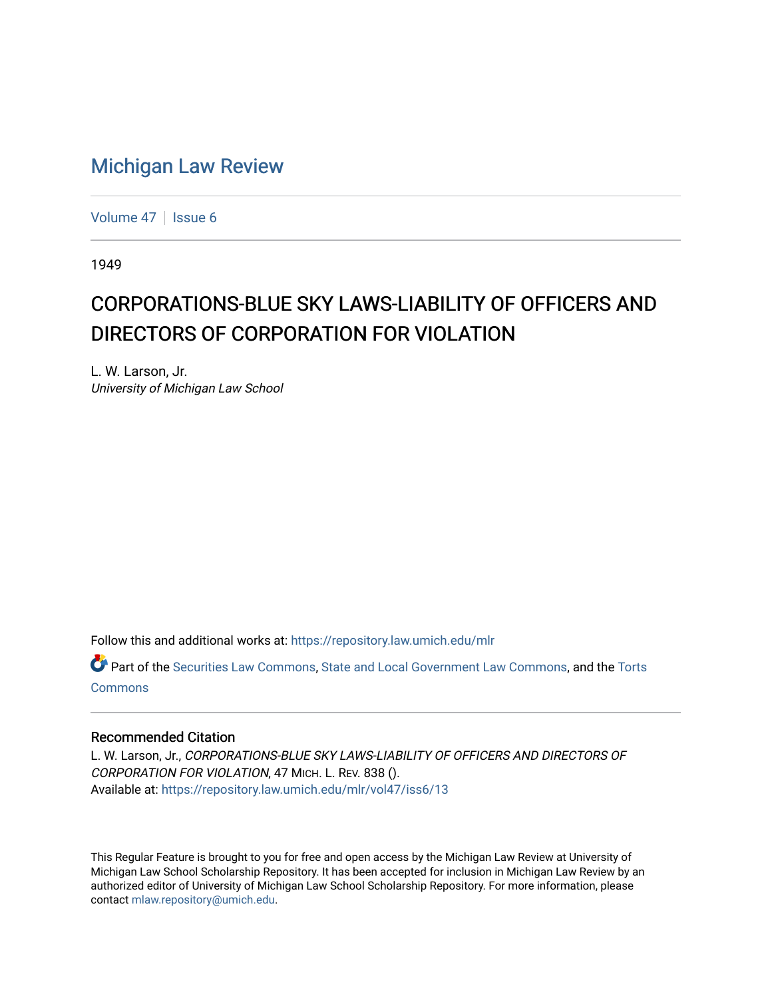## [Michigan Law Review](https://repository.law.umich.edu/mlr)

[Volume 47](https://repository.law.umich.edu/mlr/vol47) | [Issue 6](https://repository.law.umich.edu/mlr/vol47/iss6)

1949

## CORPORATIONS-BLUE SKY LAWS-LIABILITY OF OFFICERS AND DIRECTORS OF CORPORATION FOR VIOLATION

L. W. Larson, Jr. University of Michigan Law School

Follow this and additional works at: [https://repository.law.umich.edu/mlr](https://repository.law.umich.edu/mlr?utm_source=repository.law.umich.edu%2Fmlr%2Fvol47%2Fiss6%2F13&utm_medium=PDF&utm_campaign=PDFCoverPages) 

Part of the [Securities Law Commons,](http://network.bepress.com/hgg/discipline/619?utm_source=repository.law.umich.edu%2Fmlr%2Fvol47%2Fiss6%2F13&utm_medium=PDF&utm_campaign=PDFCoverPages) [State and Local Government Law Commons](http://network.bepress.com/hgg/discipline/879?utm_source=repository.law.umich.edu%2Fmlr%2Fvol47%2Fiss6%2F13&utm_medium=PDF&utm_campaign=PDFCoverPages), and the [Torts](http://network.bepress.com/hgg/discipline/913?utm_source=repository.law.umich.edu%2Fmlr%2Fvol47%2Fiss6%2F13&utm_medium=PDF&utm_campaign=PDFCoverPages) [Commons](http://network.bepress.com/hgg/discipline/913?utm_source=repository.law.umich.edu%2Fmlr%2Fvol47%2Fiss6%2F13&utm_medium=PDF&utm_campaign=PDFCoverPages)

## Recommended Citation

L. W. Larson, Jr., CORPORATIONS-BLUE SKY LAWS-LIABILITY OF OFFICERS AND DIRECTORS OF CORPORATION FOR VIOLATION, 47 MICH. L. REV. 838 (). Available at: [https://repository.law.umich.edu/mlr/vol47/iss6/13](https://repository.law.umich.edu/mlr/vol47/iss6/13?utm_source=repository.law.umich.edu%2Fmlr%2Fvol47%2Fiss6%2F13&utm_medium=PDF&utm_campaign=PDFCoverPages) 

This Regular Feature is brought to you for free and open access by the Michigan Law Review at University of Michigan Law School Scholarship Repository. It has been accepted for inclusion in Michigan Law Review by an authorized editor of University of Michigan Law School Scholarship Repository. For more information, please contact [mlaw.repository@umich.edu](mailto:mlaw.repository@umich.edu).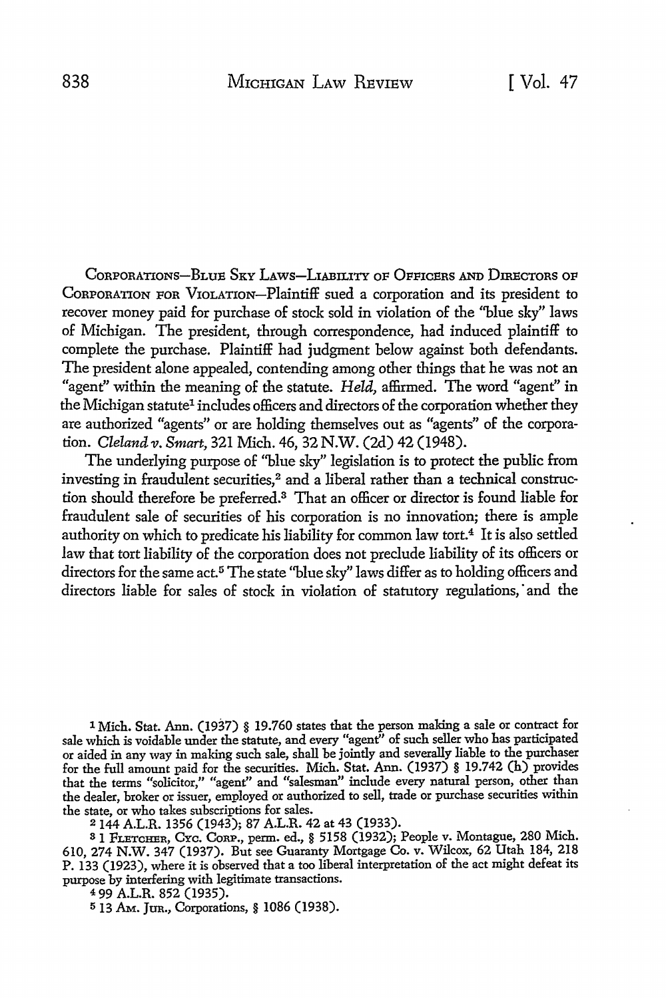CORPORATIONS-BLUE SKY LAWS-LIABILITY OF OFFICERS AND DIRECTORS OF CORPORATION FOR VIOLATION-Plaintiff sued a corporation and its president to recover money paid for purchase of stock sold in violation of the ''blue sky" laws of Michigan. The president, through correspondence, had induced plaintiff to complete the purchase. Plaintiff had judgment below against both defendants. The president alone appealed, contending among other things that he was not an "agent" within the meaning of the statute. *Held,* affirmed. The word "agent" in the Michigan statute<sup>1</sup> includes officers and directors of the corporation whether they are authorized "agents" or are holding themselves out as "agents" of the corporation. *Cleland v. Smart,* 321 Mich. 46, 32 N.W. (2d) 42 (1948).

The underlying purpose of ''blue sky" legislation is to protect the public from investing in fraudulent securities,<sup>2</sup> and a liberal rather than a technical construction should therefore be preferred.3 That an officer or director is found liable for fraudulent sale of securities of his corporation is no innovation; there is ample authority on which to predicate his liability for common law tort.4 It is also settled law that tort liability of the corporation does not preclude liability of its officers or directors for the same act.<sup>5</sup> The state "blue sky" laws differ as to holding officers and directors liable for sales of stock in violation of statutory regulations, and the

1 Mich. Stat. Ann. (1937) § 19.760 states that the person making a sale or contract for sale which is voidable under the statute, and every "agent" of such seller who has participated or aided in any way in making such sale, shall be jointly and severally liable to the purchaser for the full amount paid for the securities. Mich. Stat. Ann. (1937) § 19.742 (h) provides that the terms "solicitor," "agent" and "salesman" include every natural person, other than the dealer, broker or issuer, employed or authorized to sell, trade or purchase securities within the state, or who takes subscriptions for sales.<br>
<sup>2</sup> 144 A.L.R. 1356 (1943); 87 A.L.R. 42 at 43 (1933).

2 144 A.L.R. 1356 (1943); 87 A.L.R. 42 at 43 (1933).<br><sup>8</sup> 1 Frercher, Cyc. Corp., perm. ed., § 5158 (1932); People v. Montague, 280 Mich. 610, 274 N.W. 347 (1937). But see Guaranty Mortgage Co. v. Wilcox, 62 Utah 184, 218 P. 133 (1923), where it is observed that a too liberal interpretation of the act might defeat its purpose by interfering with legitimate transactions.

<sup>4</sup>99 A.L.R. 852 (1935).

5 13 AM. Jun., Corporations, § 1086 (1938).